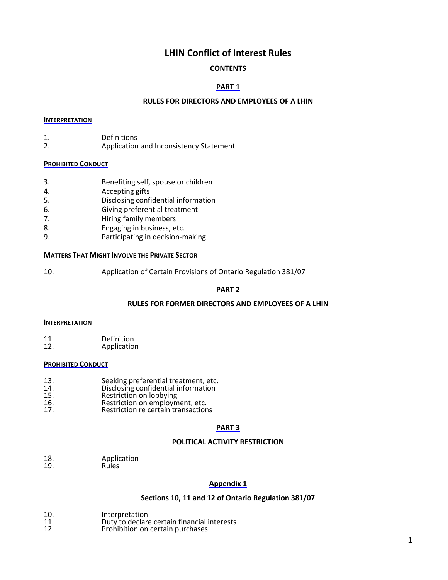# **LHIN Conflict of Interest Rules**

# **CONTENTS**

# **PART 1**

## **RULES FOR DIRECTORS AND EMPLOYEES OF A LHIN**

#### **INTERPRETATION**

- 1. Definitions<br>2. Application
- 2. Application and Inconsistency Statement

#### **PROHIBITED CONDUCT**

- 3. Benefiting self, spouse or children
- 4. Accepting gifts
- 5. Disclosing confidential information
- 6. Giving preferential treatment
- 7. Hiring family members
- 8. Engaging in business, etc.
- 9. Participating in decision-making

#### **MATTERS THAT MIGHT INVOLVE THE PRIVATE SECTOR**

10. Application of Certain Provisions of Ontario Regulation 381/07

# **PART 2**

### **RULES FOR FORMER DIRECTORS AND EMPLOYEES OF A LHIN**

### **INTERPRETATION**

11. Definition<br>12. Applicatio Application

### **PROHIBITED CONDUCT**

- 13. Seeking preferential treatment, etc.
- 14. Disclosing confidential information
- 15. Restriction on lobbying<br>16. Restriction on employm
- 16. **Restriction on employment, etc.**<br>17. **Restriction re** certain transaction
- Restriction re certain transactions

# **PART 3**

## **POLITICAL ACTIVITY RESTRICTION**

18. Application<br>19. Rules Rules

## **Appendix 1**

### **Sections 10, 11 and 12 of Ontario Regulation 381/07**

- 
- 10. Interpretation<br>11. Duty to declare 11. **11.** Duty to declare certain financial interests<br>12. **Prohibition on certain purchases**
- Prohibition on certain purchases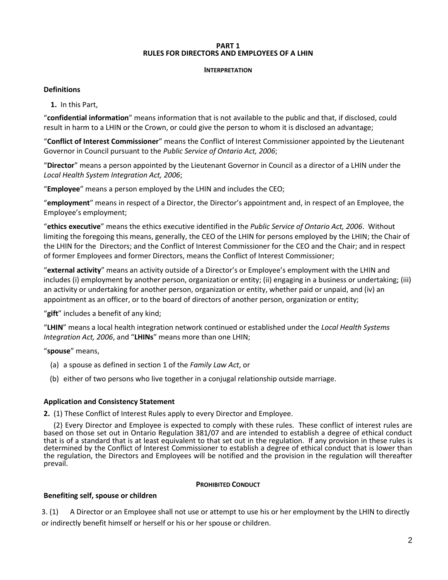### **PART 1 RULES FOR DIRECTORS AND EMPLOYEES OF A LHIN**

## **INTERPRETATION**

# **Definitions**

**[1.](http://www.e-laws.gov.on.ca/html/regs/french/elaws_regs_070381_f.htm#s1)** In this Part,

"**confidential information**" means information that is not available to the public and that, if disclosed, could result in harm to a LHIN or the Crown, or could give the person to whom it is disclosed an advantage;

"**Conflict of Interest Commissioner**" means the Conflict of Interest Commissioner appointed by the Lieutenant Governor in Council pursuant to the *Public Service of Ontario Act, 2006*;

"**Director**" means a person appointed by the Lieutenant Governor in Council as a director of a LHIN under the *Local Health System Integration Act, 2006*;

"**Employee**" means a person employed by the LHIN and includes the CEO;

"**employment**" means in respect of a Director, the Director's appointment and, in respect of an Employee, the Employee's employment;

"**ethics executive**" means the ethics executive identified in the *Public Service of Ontario Act, 2006*. Without limiting the foregoing this means, generally, the CEO of the LHIN for persons employed by the LHIN; the Chair of the LHIN for the Directors; and the Conflict of Interest Commissioner for the CEO and the Chair; and in respect of former Employees and former Directors, means the Conflict of Interest Commissioner;

"**external activity**" means an activity outside of a Director's or Employee's employment with the LHIN and includes (i) employment by another person, organization or entity; (ii) engaging in a business or undertaking; (iii) an activity or undertaking for another person, organization or entity, whether paid or unpaid, and (iv) an appointment as an officer, or to the board of directors of another person, organization or entity;

"**gift**" includes a benefit of any kind;

"**LHIN**" means a local health integration network continued or established under the *Local Health Systems Integration Act, 2006*, and "**LHINs**" means more than one LHIN;

"**spouse**" means,

- (a) a spouse as defined in section 1 of the *Family Law Act*, or
- (b) either of two persons who live together in a conjugal relationship outside marriage.

# **Application and Consistency Statement**

**2.** (1) These Conflict of Interest Rules apply to every Director and Employee.

(2) Every Director and Employee is expected to comply with these rules. These conflict of interest rules are based on those set out in Ontario Regulation 381/07 and are intended to establish a degree of ethical conduct that is of a standard that is at least equivalent to that set out in the regulation. If any provision in these rules is determined by the Conflict of Interest Commissioner to establish a degree of ethical conduct that is lower than the regulation, the Directors and Employees will be notified and the provision in the regulation will thereafter prevail.

# **PROHIBITED CONDUCT**

# **Benefiting self, spouse or children**

3. (1) A Director or an Employee shall not use or attempt to use his or her employment by the LHIN to directly or indirectly benefit himself or herself or his or her spouse or children.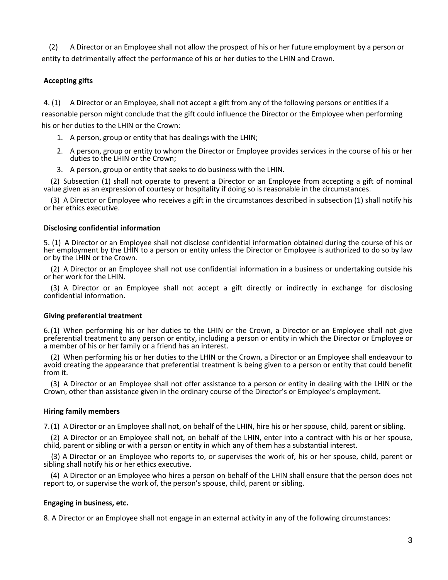(2) A Director or an Employee shall not allow the prospect of his or her future employment by a person or entity to detrimentally affect the performance of his or her duties to the LHIN and Crown.

# **Accepting gifts**

4. (1) A Director or an Employee, shall not accept a gift from any of the following persons or entities if a reasonable person might conclude that the gift could influence the Director or the Employee when performing his or her duties to the LHIN or the Crown:

- 1. A person, group or entity that has dealings with the LHIN;
- 2. A person, group or entity to whom the Director or Employee provides services in the course of his or her duties to the LHIN or the Crown;
- 3. A person, group or entity that seeks to do business with the LHIN.

[\(2\)](http://www.e-laws.gov.on.ca/html/regs/french/elaws_regs_070381_f.htm#s4s2) Subsection (1) shall not operate to prevent a Director or an Employee from accepting a gift of nominal value given as an expression of courtesy or hospitality if doing so is reasonable in the circumstances.

[\(3\)](http://www.e-laws.gov.on.ca/html/regs/french/elaws_regs_070381_f.htm#s4s3) A Director or Employee who receives a gift in the circumstances described in subsection (1) shall notify his or her ethics executive.

## **Disclosing confidential information**

5. (1) A Director or an Employee shall not disclose confidential information obtained during the course of his or her employment by the LHIN to a person or entity unless the Director or Employee is authorized to do so by law or by the LHIN or the Crown.

[\(2\)](http://www.e-laws.gov.on.ca/html/regs/french/elaws_regs_070381_f.htm#s5s2) A Director or an Employee shall not use confidential information in a business or undertaking outside his or her work for the LHIN.

[\(3\)](http://www.e-laws.gov.on.ca/html/regs/french/elaws_regs_070381_f.htm#s5s3) A Director or an Employee shall not accept a gift directly or indirectly in exchange for disclosing confidential information.

# **Giving preferential treatment**

6[.\(1\)](http://www.e-laws.gov.on.ca/html/regs/french/elaws_regs_070381_f.htm#s6s1) When performing his or her duties to the LHIN or the Crown, a Director or an Employee shall not give preferential treatment to any person or entity, including a person or entity in which the Director or Employee or a member of his or her family or a friend has an interest.

[\(2\)](http://www.e-laws.gov.on.ca/html/regs/french/elaws_regs_070381_f.htm#s6s2) When performing his or her duties to the LHIN or the Crown, a Director or an Employee shall endeavour to avoid creating the appearance that preferential treatment is being given to a person or entity that could benefit from it.

[\(3\)](http://www.e-laws.gov.on.ca/html/regs/french/elaws_regs_070381_f.htm#s6s3) A Director or an Employee shall not offer assistance to a person or entity in dealing with the LHIN or the Crown, other than assistance given in the ordinary course of the Director's or Employee's employment.

# **Hiring family members**

7[.\(1\)](http://www.e-laws.gov.on.ca/html/regs/french/elaws_regs_070381_f.htm#s7s1) A Director or an Employee shall not, on behalf of the LHIN, hire his or her spouse, child, parent or sibling.

[\(2\)](http://www.e-laws.gov.on.ca/html/regs/french/elaws_regs_070381_f.htm#s7s2) A Director or an Employee shall not, on behalf of the LHIN, enter into a contract with his or her spouse, child, parent or sibling or with a person or entity in which any of them has a substantial interest.

 (3) A Director or an Employee who reports to, or supervises the work of, his or her spouse, child, parent or sibling shall notify his or her ethics executive.

[\(4\)](http://www.e-laws.gov.on.ca/html/regs/french/elaws_regs_070381_f.htm#s7s3) A Director or an Employee who hires a person on behalf of the LHIN shall ensure that the person does not report to, or supervise the work of, the person's spouse, child, parent or sibling.

# **Engaging in business, etc.**

8. A Director or an Employee shall not engage in an external activity in any of the following circumstances: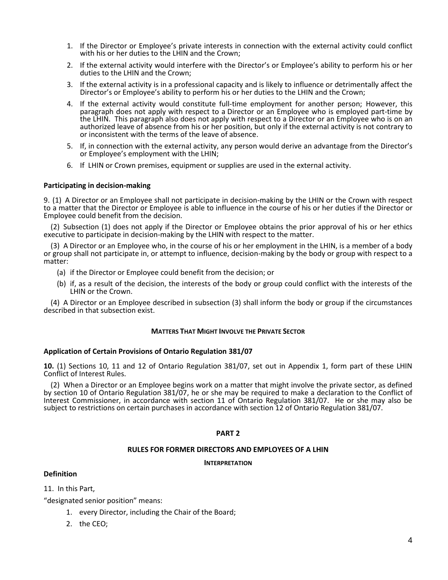- 1. If the Director or Employee's private interests in connection with the external activity could conflict with his or her duties to the LHIN and the Crown:
- 2. If the external activity would interfere with the Director's or Employee's ability to perform his or her duties to the LHIN and the Crown;
- 3. If the external activity is in a professional capacity and is likely to influence or detrimentally affect the Director's or Employee's ability to perform his or her duties to the LHIN and the Crown;
- 4. If the external activity would constitute full-time employment for another person; However, this paragraph does not apply with respect to a Director or an Employee who is employed part-time by the LHIN. This paragraph also does not apply with respect to a Director or an Employee who is on an authorized leave of absence from his or her position, but only if the external activity is not contrary to or inconsistent with the terms of the leave of absence.
- 5. If, in connection with the external activity, any person would derive an advantage from the Director's or Employee's employment with the LHIN;
- 6. If LHIN or Crown premises, equipment or supplies are used in the external activity.

#### **Participating in decision-making**

9. [\(1\)](http://www.e-laws.gov.on.ca/html/regs/french/elaws_regs_070381_f.htm#s9s1) A Director or an Employee shall not participate in decision-making by the LHIN or the Crown with respect to a matter that the Director or Employee is able to influence in the course of his or her duties if the Director or Employee could benefit from the decision.

[\(2\)](http://www.e-laws.gov.on.ca/html/regs/french/elaws_regs_070381_f.htm#s9s2) Subsection (1) does not apply if the Director or Employee obtains the prior approval of his or her ethics executive to participate in decision-making by the LHIN with respect to the matter.

[\(3\)](http://www.e-laws.gov.on.ca/html/regs/french/elaws_regs_070381_f.htm#s9s3) A Director or an Employee who, in the course of his or her employment in the LHIN, is a member of a body or group shall not participate in, or attempt to influence, decision-making by the body or group with respect to a matter:

- (a) if the Director or Employee could benefit from the decision; or
- (b) if, as a result of the decision, the interests of the body or group could conflict with the interests of the LHIN or the Crown.

[\(4\)](http://www.e-laws.gov.on.ca/html/regs/french/elaws_regs_070381_f.htm#s9s4) A Director or an Employee described in subsection (3) shall inform the body or group if the circumstances described in that subsection exist.

#### **MATTERS THAT MIGHT INVOLVE THE PRIVATE SECTOR**

### **Application of Certain Provisions of Ontario Regulation 381/07**

**10.** (1) Sections 10, 11 and 12 of Ontario Regulation 381/07, set out in Appendix 1, form part of these LHIN Conflict of Interest Rules.

(2) When a Director or an Employee begins work on a matter that might involve the private sector, as defined by section 10 of Ontario Regulation 381/07, he or she may be required to make a declaration to the Conflict of Interest Commissioner, in accordance with section 11 of Ontario Regulation 381/07. He or she may also be subject to restrictions on certain purchases in accordance with section 12 of Ontario Regulation 381/07.

### **PART 2**

#### **RULES FOR FORMER DIRECTORS AND EMPLOYEES OF A LHIN**

#### **INTERPRETATION**

## **Definition**

11.In this Part,

"designated senior position" means:

- 1. every Director, including the Chair of the Board;
- 2. the CEO;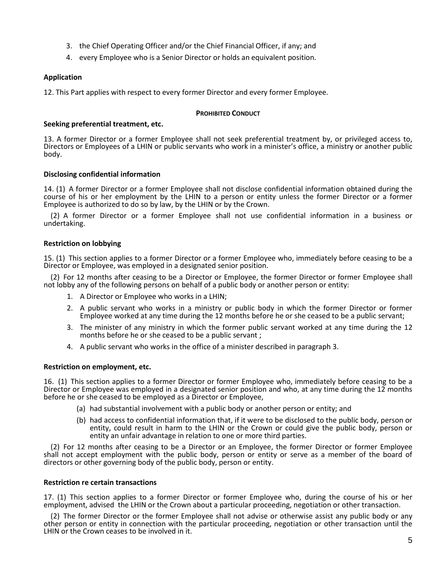- 3. the Chief Operating Officer and/or the Chief Financial Officer, if any; and
- 4. every Employee who is a Senior Director or holds an equivalent position.

## **Application**

12. This Part applies with respect to every former Director and every former Employee.

#### **PROHIBITED CONDUCT**

### **Seeking preferential treatment, etc.**

13. A former Director or a former Employee shall not seek preferential treatment by, or privileged access to, Directors or Employees of a LHIN or public servants who work in a minister's office, a ministry or another public body.

### **Disclosing confidential information**

14. [\(1\)](http://www.e-laws.gov.on.ca/html/regs/french/elaws_regs_070381_f.htm#s17s1) A former Director or a former Employee shall not disclose confidential information obtained during the course of his or her employment by the LHIN to a person or entity unless the former Director or a former Employee is authorized to do so by law, by the LHIN or by the Crown.

[\(2\)](http://www.e-laws.gov.on.ca/html/regs/french/elaws_regs_070381_f.htm#s17s2) A former Director or a former Employee shall not use confidential information in a business or undertaking.

### **Restriction on lobbying**

15. [\(1\)](http://www.e-laws.gov.on.ca/html/regs/french/elaws_regs_070381_f.htm#s18s1) This section applies to a former Director or a former Employee who, immediately before ceasing to be a Director or Employee, was employed in a designated senior position.

[\(2\)](http://www.e-laws.gov.on.ca/html/regs/french/elaws_regs_070381_f.htm#s18s2) For 12 months after ceasing to be a Director or Employee, the former Director or former Employee shall not lobby any of the following persons on behalf of a public body or another person or entity:

- 1. A Director or Employee who works in a LHIN;
- 2. A public servant who works in a ministry or public body in which the former Director or former Employee worked at any time during the 12 months before he or she ceased to be a public servant;
- 3. The minister of any ministry in which the former public servant worked at any time during the 12 months before he or she ceased to be a public servant ;
- 4. A public servant who works in the office of a minister described in paragraph 3.

#### **Restriction on employment, etc.**

16. [\(1\)](http://www.e-laws.gov.on.ca/html/regs/french/elaws_regs_070381_f.htm#s19s1) This section applies to a former Director or former Employee who, immediately before ceasing to be a Director or Employee was employed in a designated senior position and who, at any time during the 12 months before he or she ceased to be employed as a Director or Employee,

- (a) had substantial involvement with a public body or another person or entity; and
- (b) had access to confidential information that, if it were to be disclosed to the public body, person or entity, could result in harm to the LHIN or the Crown or could give the public body, person or entity an unfair advantage in relation to one or more third parties.

[\(2\)](http://www.e-laws.gov.on.ca/html/regs/french/elaws_regs_070381_f.htm#s19s2) For 12 months after ceasing to be a Director or an Employee, the former Director or former Employee shall not accept employment with the public body, person or entity or serve as a member of the board of directors or other governing body of the public body, person or entity.

#### **Restriction re certain transactions**

17. [\(1\)](http://www.e-laws.gov.on.ca/html/regs/french/elaws_regs_070381_f.htm#s20s1) This section applies to a former Director or former Employee who, during the course of his or her employment, advised the LHIN or the Crown about a particular proceeding, negotiation or other transaction.

[\(2\)](http://www.e-laws.gov.on.ca/html/regs/french/elaws_regs_070381_f.htm#s20s2) The former Director or the former Employee shall not advise or otherwise assist any public body or any other person or entity in connection with the particular proceeding, negotiation or other transaction until the LHIN or the Crown ceases to be involved in it.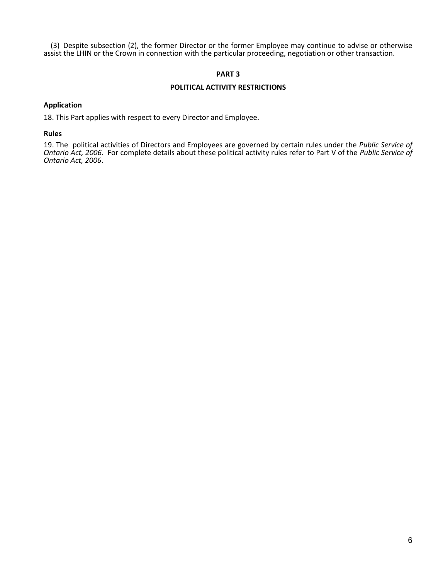[\(3\)](http://www.e-laws.gov.on.ca/html/regs/french/elaws_regs_070381_f.htm#s20s3) Despite subsection (2), the former Director or the former Employee may continue to advise or otherwise assist the LHIN or the Crown in connection with the particular proceeding, negotiation or other transaction.

## **PART 3**

#### **POLITICAL ACTIVITY RESTRICTIONS**

#### **Application**

18. This Part applies with respect to every Director and Employee.

#### **Rules**

19. The political activities of Directors and Employees are governed by certain rules under the *Public Service of Ontario Act, 2006*. For complete details about these political activity rules refer to Part V of the *Public Service of Ontario Act, 2006*.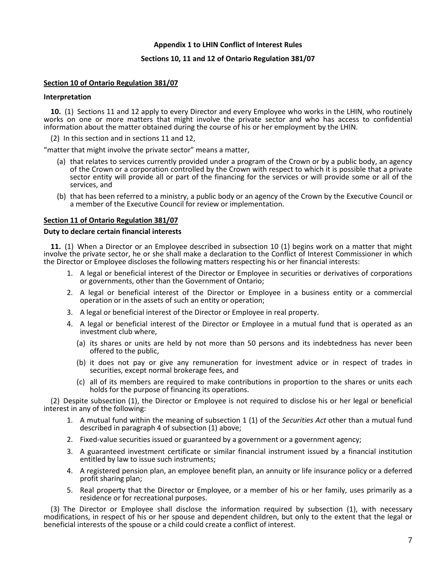## **Appendix 1 to LHIN Conflict of Interest Rules**

### **Sections 10, 11 and 12 of Ontario Regulation 381/07**

## **Section 10 of Ontario Regulation 381/07**

#### **Interpretation**

**[10.](http://www.e-laws.gov.on.ca/html/regs/french/elaws_regs_070381_f.htm#s10s1)** (1) Sections 11 and 12 apply to every Director and every Employee who works in the LHIN, who routinely works on one or more matters that might involve the private sector and who has access to confidential information about the matter obtained during the course of his or her employment by the LHIN.

[\(2\)](http://www.e-laws.gov.on.ca/html/regs/french/elaws_regs_070381_f.htm#s10s2) In this section and in sections 11 and 12,

"matter that might involve the private sector" means a matter,

- (a) that relates to services currently provided under a program of the Crown or by a public body, an agency of the Crown or a corporation controlled by the Crown with respect to which it is possible that a private sector entity will provide all or part of the financing for the services or will provide some or all of the services, and
- (b) that has been referred to a ministry, a public body or an agency of the Crown by the Executive Council or a member of the Executive Council for review or implementation.

### **Section 11 of Ontario Regulation 381/07**

#### **Duty to declare certain financial interests**

**[11.](http://www.e-laws.gov.on.ca/html/regs/french/elaws_regs_070381_f.htm#s11s1)** (1) When a Director or an Employee described in subsection 10 (1) begins work on a matter that might involve the private sector, he or she shall make a declaration to the Conflict of Interest Commissioner in which the Director or Employee discloses the following matters respecting his or her financial interests:

- 1. A legal or beneficial interest of the Director or Employee in securities or derivatives of corporations or governments, other than the Government of Ontario;
- 2. A legal or beneficial interest of the Director or Employee in a business entity or a commercial operation or in the assets of such an entity or operation;
- 3. A legal or beneficial interest of the Director or Employee in real property.
- 4. A legal or beneficial interest of the Director or Employee in a mutual fund that is operated as an investment club where,
	- (a) its shares or units are held by not more than 50 persons and its indebtedness has never been offered to the public,
	- (b) it does not pay or give any remuneration for investment advice or in respect of trades in securities, except normal brokerage fees, and
	- (c) all of its members are required to make contributions in proportion to the shares or units each holds for the purpose of financing its operations.

[\(2\)](http://www.e-laws.gov.on.ca/html/regs/french/elaws_regs_070381_f.htm#s11s2) Despite subsection (1), the Director or Employee is not required to disclose his or her legal or beneficial interest in any of the following:

- 1. A mutual fund within the meaning of subsection 1 (1) of the *Securities Act* other than a mutual fund described in paragraph 4 of subsection (1) above;
- 2. Fixed-value securities issued or guaranteed by a government or a government agency;
- 3. A guaranteed investment certificate or similar financial instrument issued by a financial institution entitled by law to issue such instruments;
- 4. A registered pension plan, an employee benefit plan, an annuity or life insurance policy or a deferred profit sharing plan;
- 5. Real property that the Director or Employee, or a member of his or her family, uses primarily as a residence or for recreational purposes.

[\(3\)](http://www.e-laws.gov.on.ca/html/regs/french/elaws_regs_070381_f.htm#s11s3) The Director or Employee shall disclose the information required by subsection (1), with necessary modifications, in respect of his or her spouse and dependent children, but only to the extent that the legal or beneficial interests of the spouse or a child could create a conflict of interest.